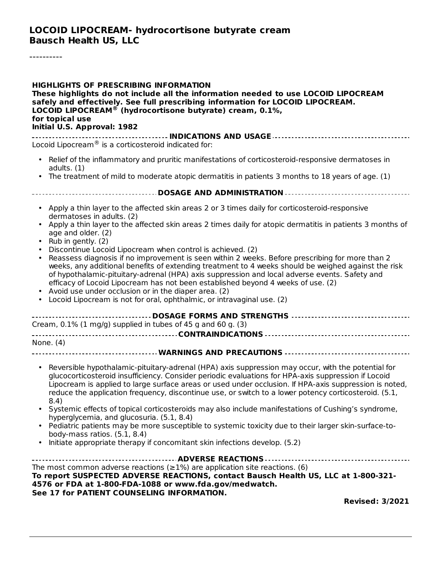#### **LOCOID LIPOCREAM- hydrocortisone butyrate cream Bausch Health US, LLC**

----------

| <b>HIGHLIGHTS OF PRESCRIBING INFORMATION</b><br>These highlights do not include all the information needed to use LOCOID LIPOCREAM<br>safely and effectively. See full prescribing information for LOCOID LIPOCREAM.<br>LOCOID LIPOCREAM <sup>®</sup> (hydrocortisone butyrate) cream, 0.1%,<br>for topical use<br>Initial U.S. Approval: 1982                                                                                                                                                                                                                                                                                                                                                                                                                                                                               |
|------------------------------------------------------------------------------------------------------------------------------------------------------------------------------------------------------------------------------------------------------------------------------------------------------------------------------------------------------------------------------------------------------------------------------------------------------------------------------------------------------------------------------------------------------------------------------------------------------------------------------------------------------------------------------------------------------------------------------------------------------------------------------------------------------------------------------|
| Locoid Lipocream® is a corticosteroid indicated for:                                                                                                                                                                                                                                                                                                                                                                                                                                                                                                                                                                                                                                                                                                                                                                         |
| Relief of the inflammatory and pruritic manifestations of corticosteroid-responsive dermatoses in<br>adults. $(1)$                                                                                                                                                                                                                                                                                                                                                                                                                                                                                                                                                                                                                                                                                                           |
| The treatment of mild to moderate atopic dermatitis in patients 3 months to 18 years of age. (1)                                                                                                                                                                                                                                                                                                                                                                                                                                                                                                                                                                                                                                                                                                                             |
|                                                                                                                                                                                                                                                                                                                                                                                                                                                                                                                                                                                                                                                                                                                                                                                                                              |
| • Apply a thin layer to the affected skin areas 2 or 3 times daily for corticosteroid-responsive<br>dermatoses in adults. (2)<br>Apply a thin layer to the affected skin areas 2 times daily for atopic dermatitis in patients 3 months of                                                                                                                                                                                                                                                                                                                                                                                                                                                                                                                                                                                   |
| age and older. (2)<br>Rub in gently. (2)<br>Discontinue Locoid Lipocream when control is achieved. (2)<br>Reassess diagnosis if no improvement is seen within 2 weeks. Before prescribing for more than 2<br>$\bullet$<br>weeks, any additional benefits of extending treatment to 4 weeks should be weighed against the risk<br>of hypothalamic-pituitary-adrenal (HPA) axis suppression and local adverse events. Safety and<br>efficacy of Locoid Lipocream has not been established beyond 4 weeks of use. (2)<br>Avoid use under occlusion or in the diaper area. (2)<br>Locoid Lipocream is not for oral, ophthalmic, or intravaginal use. (2)                                                                                                                                                                         |
| DOSAGE FORMS AND STRENGTHS<br>Cream, 0.1% (1 mg/g) supplied in tubes of 45 g and 60 g. (3)                                                                                                                                                                                                                                                                                                                                                                                                                                                                                                                                                                                                                                                                                                                                   |
|                                                                                                                                                                                                                                                                                                                                                                                                                                                                                                                                                                                                                                                                                                                                                                                                                              |
| None. (4)                                                                                                                                                                                                                                                                                                                                                                                                                                                                                                                                                                                                                                                                                                                                                                                                                    |
| Reversible hypothalamic-pituitary-adrenal (HPA) axis suppression may occur, with the potential for<br>glucocorticosteroid insufficiency. Consider periodic evaluations for HPA-axis suppression if Locoid<br>Lipocream is applied to large surface areas or used under occlusion. If HPA-axis suppression is noted,<br>reduce the application frequency, discontinue use, or switch to a lower potency corticosteroid. (5.1,<br>8.4)<br>Systemic effects of topical corticosteroids may also include manifestations of Cushing's syndrome,<br>hyperglycemia, and glucosuria. (5.1, 8.4)<br>Pediatric patients may be more susceptible to systemic toxicity due to their larger skin-surface-to-<br>$\bullet$<br>body-mass ratios. $(5.1, 8.4)$<br>Initiate appropriate therapy if concomitant skin infections develop. (5.2) |
| The most common adverse reactions ( $\geq$ 1%) are application site reactions. (6)<br>To report SUSPECTED ADVERSE REACTIONS, contact Bausch Health US, LLC at 1-800-321-<br>4576 or FDA at 1-800-FDA-1088 or www.fda.gov/medwatch.                                                                                                                                                                                                                                                                                                                                                                                                                                                                                                                                                                                           |
| See 17 for PATIENT COUNSELING INFORMATION.<br><b>Revised: 3/2021</b>                                                                                                                                                                                                                                                                                                                                                                                                                                                                                                                                                                                                                                                                                                                                                         |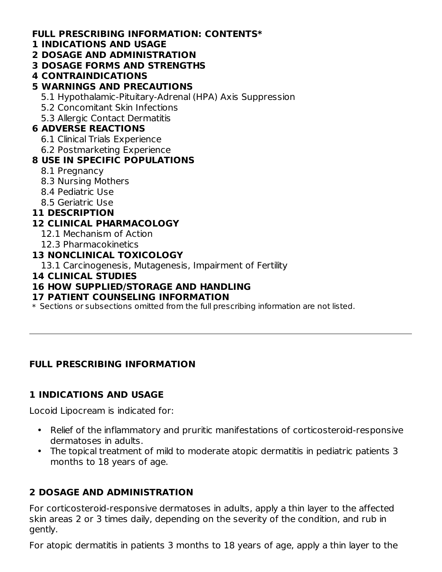#### **FULL PRESCRIBING INFORMATION: CONTENTS\***

#### **1 INDICATIONS AND USAGE**

- **2 DOSAGE AND ADMINISTRATION**
- **3 DOSAGE FORMS AND STRENGTHS**
- **4 CONTRAINDICATIONS**

### **5 WARNINGS AND PRECAUTIONS**

- 5.1 Hypothalamic-Pituitary-Adrenal (HPA) Axis Suppression
- 5.2 Concomitant Skin Infections
- 5.3 Allergic Contact Dermatitis

#### **6 ADVERSE REACTIONS**

- 6.1 Clinical Trials Experience
- 6.2 Postmarketing Experience

### **8 USE IN SPECIFIC POPULATIONS**

- 8.1 Pregnancy
- 8.3 Nursing Mothers
- 8.4 Pediatric Use
- 8.5 Geriatric Use

### **11 DESCRIPTION**

### **12 CLINICAL PHARMACOLOGY**

- 12.1 Mechanism of Action
- 12.3 Pharmacokinetics

### **13 NONCLINICAL TOXICOLOGY**

13.1 Carcinogenesis, Mutagenesis, Impairment of Fertility

#### **14 CLINICAL STUDIES**

#### **16 HOW SUPPLIED/STORAGE AND HANDLING**

#### **17 PATIENT COUNSELING INFORMATION**

\* Sections or subsections omitted from the full prescribing information are not listed.

### **FULL PRESCRIBING INFORMATION**

### **1 INDICATIONS AND USAGE**

Locoid Lipocream is indicated for:

- Relief of the inflammatory and pruritic manifestations of corticosteroid-responsive dermatoses in adults.
- The topical treatment of mild to moderate atopic dermatitis in pediatric patients 3 months to 18 years of age.

### **2 DOSAGE AND ADMINISTRATION**

For corticosteroid-responsive dermatoses in adults, apply a thin layer to the affected skin areas 2 or 3 times daily, depending on the severity of the condition, and rub in gently.

For atopic dermatitis in patients 3 months to 18 years of age, apply a thin layer to the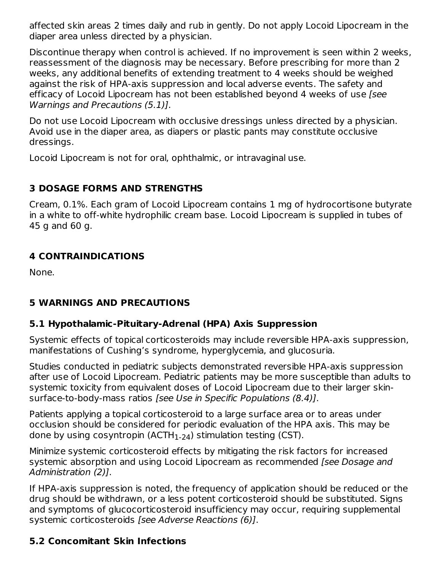affected skin areas 2 times daily and rub in gently. Do not apply Locoid Lipocream in the diaper area unless directed by a physician.

Discontinue therapy when control is achieved. If no improvement is seen within 2 weeks, reassessment of the diagnosis may be necessary. Before prescribing for more than 2 weeks, any additional benefits of extending treatment to 4 weeks should be weighed against the risk of HPA-axis suppression and local adverse events. The safety and efficacy of Locoid Lipocream has not been established beyond 4 weeks of use [see Warnings and Precautions (5.1)].

Do not use Locoid Lipocream with occlusive dressings unless directed by a physician. Avoid use in the diaper area, as diapers or plastic pants may constitute occlusive dressings.

Locoid Lipocream is not for oral, ophthalmic, or intravaginal use.

### **3 DOSAGE FORMS AND STRENGTHS**

Cream, 0.1%. Each gram of Locoid Lipocream contains 1 mg of hydrocortisone butyrate in a white to off-white hydrophilic cream base. Locoid Lipocream is supplied in tubes of 45 g and 60 g.

### **4 CONTRAINDICATIONS**

None.

### **5 WARNINGS AND PRECAUTIONS**

### **5.1 Hypothalamic-Pituitary-Adrenal (HPA) Axis Suppression**

Systemic effects of topical corticosteroids may include reversible HPA-axis suppression, manifestations of Cushing's syndrome, hyperglycemia, and glucosuria.

Studies conducted in pediatric subjects demonstrated reversible HPA-axis suppression after use of Locoid Lipocream. Pediatric patients may be more susceptible than adults to systemic toxicity from equivalent doses of Locoid Lipocream due to their larger skinsurface-to-body-mass ratios [see Use in Specific Populations (8.4)].

Patients applying a topical corticosteroid to a large surface area or to areas under occlusion should be considered for periodic evaluation of the HPA axis. This may be done by using cosyntropin (ACTH $_{\rm 1\text{-}24}$ ) stimulation testing (CST).

Minimize systemic corticosteroid effects by mitigating the risk factors for increased systemic absorption and using Locoid Lipocream as recommended [see Dosage and Administration (2)].

If HPA-axis suppression is noted, the frequency of application should be reduced or the drug should be withdrawn, or a less potent corticosteroid should be substituted. Signs and symptoms of glucocorticosteroid insufficiency may occur, requiring supplemental systemic corticosteroids [see Adverse Reactions (6)].

### **5.2 Concomitant Skin Infections**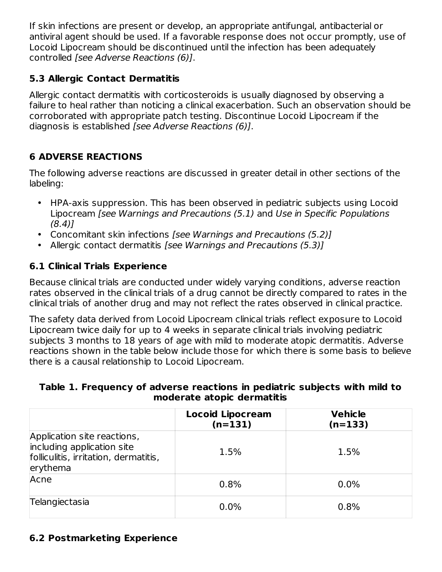If skin infections are present or develop, an appropriate antifungal, antibacterial or antiviral agent should be used. If a favorable response does not occur promptly, use of Locoid Lipocream should be discontinued until the infection has been adequately controlled [see Adverse Reactions (6)].

### **5.3 Allergic Contact Dermatitis**

Allergic contact dermatitis with corticosteroids is usually diagnosed by observing a failure to heal rather than noticing a clinical exacerbation. Such an observation should be corroborated with appropriate patch testing. Discontinue Locoid Lipocream if the diagnosis is established [see Adverse Reactions (6)].

### **6 ADVERSE REACTIONS**

The following adverse reactions are discussed in greater detail in other sections of the labeling:

- HPA-axis suppression. This has been observed in pediatric subjects using Locoid Lipocream [see Warnings and Precautions (5.1) and Use in Specific Populations (8.4)]
- Concomitant skin infections [see Warnings and Precautions (5.2)]
- Allergic contact dermatitis [see Warnings and Precautions (5.3)]

### **6.1 Clinical Trials Experience**

Because clinical trials are conducted under widely varying conditions, adverse reaction rates observed in the clinical trials of a drug cannot be directly compared to rates in the clinical trials of another drug and may not reflect the rates observed in clinical practice.

The safety data derived from Locoid Lipocream clinical trials reflect exposure to Locoid Lipocream twice daily for up to 4 weeks in separate clinical trials involving pediatric subjects 3 months to 18 years of age with mild to moderate atopic dermatitis. Adverse reactions shown in the table below include those for which there is some basis to believe there is a causal relationship to Locoid Lipocream.

#### **Table 1. Frequency of adverse reactions in pediatric subjects with mild to moderate atopic dermatitis**

|                                                                                                                | <b>Locoid Lipocream</b><br>$(n=131)$ | <b>Vehicle</b><br>$(n=133)$ |
|----------------------------------------------------------------------------------------------------------------|--------------------------------------|-----------------------------|
| Application site reactions,<br>including application site<br>folliculitis, irritation, dermatitis,<br>erythema | 1.5%                                 | 1.5%                        |
| Acne                                                                                                           | 0.8%                                 | $0.0\%$                     |
| Telangiectasia                                                                                                 | 0.0%                                 | 0.8%                        |

### **6.2 Postmarketing Experience**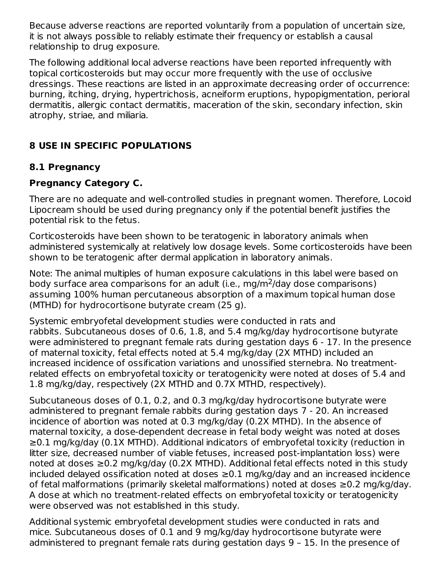Because adverse reactions are reported voluntarily from a population of uncertain size, it is not always possible to reliably estimate their frequency or establish a causal relationship to drug exposure.

The following additional local adverse reactions have been reported infrequently with topical corticosteroids but may occur more frequently with the use of occlusive dressings. These reactions are listed in an approximate decreasing order of occurrence: burning, itching, drying, hypertrichosis, acneiform eruptions, hypopigmentation, perioral dermatitis, allergic contact dermatitis, maceration of the skin, secondary infection, skin atrophy, striae, and miliaria.

### **8 USE IN SPECIFIC POPULATIONS**

### **8.1 Pregnancy**

### **Pregnancy Category C.**

There are no adequate and well-controlled studies in pregnant women. Therefore, Locoid Lipocream should be used during pregnancy only if the potential benefit justifies the potential risk to the fetus.

Corticosteroids have been shown to be teratogenic in laboratory animals when administered systemically at relatively low dosage levels. Some corticosteroids have been shown to be teratogenic after dermal application in laboratory animals.

Note: The animal multiples of human exposure calculations in this label were based on body surface area comparisons for an adult (i.e., mg/m<sup>2</sup>/day dose comparisons) assuming 100% human percutaneous absorption of a maximum topical human dose (MTHD) for hydrocortisone butyrate cream (25 g).

Systemic embryofetal development studies were conducted in rats and rabbits. Subcutaneous doses of 0.6, 1.8, and 5.4 mg/kg/day hydrocortisone butyrate were administered to pregnant female rats during gestation days 6 - 17. In the presence of maternal toxicity, fetal effects noted at 5.4 mg/kg/day (2X MTHD) included an increased incidence of ossification variations and unossified sternebra. No treatmentrelated effects on embryofetal toxicity or teratogenicity were noted at doses of 5.4 and 1.8 mg/kg/day, respectively (2X MTHD and 0.7X MTHD, respectively).

Subcutaneous doses of 0.1, 0.2, and 0.3 mg/kg/day hydrocortisone butyrate were administered to pregnant female rabbits during gestation days 7 - 20. An increased incidence of abortion was noted at 0.3 mg/kg/day (0.2X MTHD). In the absence of maternal toxicity, a dose-dependent decrease in fetal body weight was noted at doses ≥0.1 mg/kg/day (0.1X MTHD). Additional indicators of embryofetal toxicity (reduction in litter size, decreased number of viable fetuses, increased post-implantation loss) were noted at doses ≥0.2 mg/kg/day (0.2X MTHD). Additional fetal effects noted in this study included delayed ossification noted at doses ≥0.1 mg/kg/day and an increased incidence of fetal malformations (primarily skeletal malformations) noted at doses ≥0.2 mg/kg/day. A dose at which no treatment-related effects on embryofetal toxicity or teratogenicity were observed was not established in this study.

Additional systemic embryofetal development studies were conducted in rats and mice. Subcutaneous doses of 0.1 and 9 mg/kg/day hydrocortisone butyrate were administered to pregnant female rats during gestation days 9 – 15. In the presence of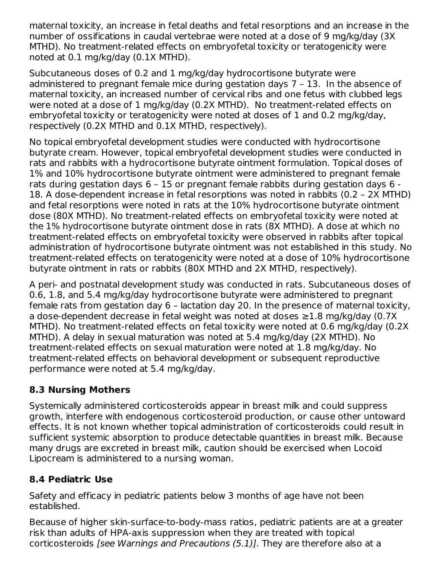maternal toxicity, an increase in fetal deaths and fetal resorptions and an increase in the number of ossifications in caudal vertebrae were noted at a dose of 9 mg/kg/day (3X MTHD). No treatment-related effects on embryofetal toxicity or teratogenicity were noted at 0.1 mg/kg/day (0.1X MTHD).

Subcutaneous doses of 0.2 and 1 mg/kg/day hydrocortisone butyrate were administered to pregnant female mice during gestation days 7 – 13. In the absence of maternal toxicity, an increased number of cervical ribs and one fetus with clubbed legs were noted at a dose of 1 mg/kg/day (0.2X MTHD). No treatment-related effects on embryofetal toxicity or teratogenicity were noted at doses of 1 and 0.2 mg/kg/day, respectively (0.2X MTHD and 0.1X MTHD, respectively).

No topical embryofetal development studies were conducted with hydrocortisone butyrate cream. However, topical embryofetal development studies were conducted in rats and rabbits with a hydrocortisone butyrate ointment formulation. Topical doses of 1% and 10% hydrocortisone butyrate ointment were administered to pregnant female rats during gestation days 6 – 15 or pregnant female rabbits during gestation days 6 - 18. A dose-dependent increase in fetal resorptions was noted in rabbits (0.2 – 2X MTHD) and fetal resorptions were noted in rats at the 10% hydrocortisone butyrate ointment dose (80X MTHD). No treatment-related effects on embryofetal toxicity were noted at the 1% hydrocortisone butyrate ointment dose in rats (8X MTHD). A dose at which no treatment-related effects on embryofetal toxicity were observed in rabbits after topical administration of hydrocortisone butyrate ointment was not established in this study. No treatment-related effects on teratogenicity were noted at a dose of 10% hydrocortisone butyrate ointment in rats or rabbits (80X MTHD and 2X MTHD, respectively).

A peri- and postnatal development study was conducted in rats. Subcutaneous doses of 0.6, 1.8, and 5.4 mg/kg/day hydrocortisone butyrate were administered to pregnant female rats from gestation day 6 – lactation day 20. In the presence of maternal toxicity, a dose-dependent decrease in fetal weight was noted at doses ≥1.8 mg/kg/day (0.7X MTHD). No treatment-related effects on fetal toxicity were noted at 0.6 mg/kg/day (0.2X MTHD). A delay in sexual maturation was noted at 5.4 mg/kg/day (2X MTHD). No treatment-related effects on sexual maturation were noted at 1.8 mg/kg/day. No treatment-related effects on behavioral development or subsequent reproductive performance were noted at 5.4 mg/kg/day.

### **8.3 Nursing Mothers**

Systemically administered corticosteroids appear in breast milk and could suppress growth, interfere with endogenous corticosteroid production, or cause other untoward effects. It is not known whether topical administration of corticosteroids could result in sufficient systemic absorption to produce detectable quantities in breast milk. Because many drugs are excreted in breast milk, caution should be exercised when Locoid Lipocream is administered to a nursing woman.

### **8.4 Pediatric Use**

Safety and efficacy in pediatric patients below 3 months of age have not been established.

Because of higher skin-surface-to-body-mass ratios, pediatric patients are at a greater risk than adults of HPA-axis suppression when they are treated with topical corticosteroids [see Warnings and Precautions (5.1)]. They are therefore also at a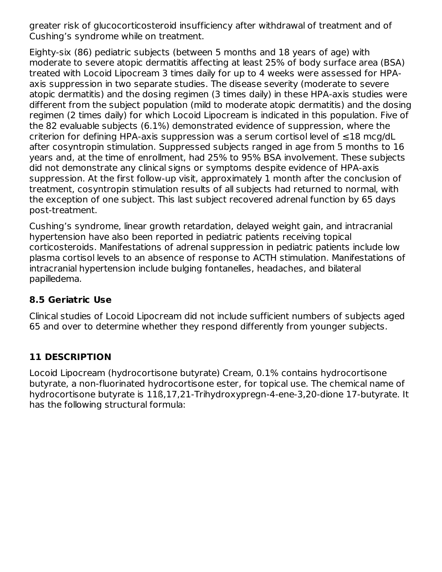greater risk of glucocorticosteroid insufficiency after withdrawal of treatment and of Cushing's syndrome while on treatment.

Eighty-six (86) pediatric subjects (between 5 months and 18 years of age) with moderate to severe atopic dermatitis affecting at least 25% of body surface area (BSA) treated with Locoid Lipocream 3 times daily for up to 4 weeks were assessed for HPAaxis suppression in two separate studies. The disease severity (moderate to severe atopic dermatitis) and the dosing regimen (3 times daily) in these HPA-axis studies were different from the subject population (mild to moderate atopic dermatitis) and the dosing regimen (2 times daily) for which Locoid Lipocream is indicated in this population. Five of the 82 evaluable subjects (6.1%) demonstrated evidence of suppression, where the criterion for defining HPA-axis suppression was a serum cortisol level of ≤18 mcg/dL after cosyntropin stimulation. Suppressed subjects ranged in age from 5 months to 16 years and, at the time of enrollment, had 25% to 95% BSA involvement. These subjects did not demonstrate any clinical signs or symptoms despite evidence of HPA-axis suppression. At the first follow-up visit, approximately 1 month after the conclusion of treatment, cosyntropin stimulation results of all subjects had returned to normal, with the exception of one subject. This last subject recovered adrenal function by 65 days post-treatment.

Cushing's syndrome, linear growth retardation, delayed weight gain, and intracranial hypertension have also been reported in pediatric patients receiving topical corticosteroids. Manifestations of adrenal suppression in pediatric patients include low plasma cortisol levels to an absence of response to ACTH stimulation. Manifestations of intracranial hypertension include bulging fontanelles, headaches, and bilateral papilledema.

#### **8.5 Geriatric Use**

Clinical studies of Locoid Lipocream did not include sufficient numbers of subjects aged 65 and over to determine whether they respond differently from younger subjects.

### **11 DESCRIPTION**

Locoid Lipocream (hydrocortisone butyrate) Cream, 0.1% contains hydrocortisone butyrate, a non-fluorinated hydrocortisone ester, for topical use. The chemical name of hydrocortisone butyrate is 11ß,17,21-Trihydroxypregn-4-ene-3,20-dione 17-butyrate. It has the following structural formula: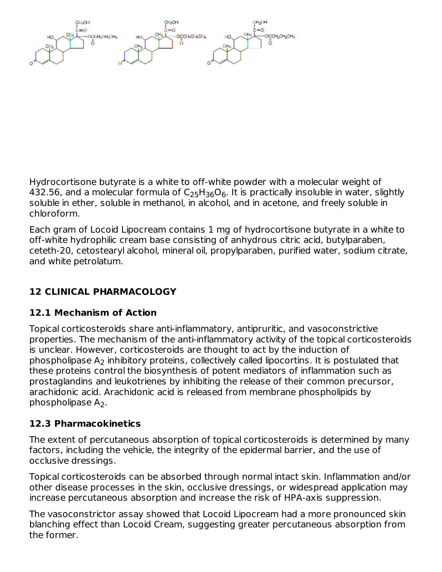Hydrocortisone butyrate is a white to off-white powder with a molecular weight of 432.56, and a molecular formula of  $\mathsf{C}_2$ 5H $_{36}\mathsf{O}_6$ . It is practically insoluble in water, slightly soluble in ether, soluble in methanol, in alcohol, and in acetone, and freely soluble in chloroform.

Each gram of Locoid Lipocream contains 1 mg of hydrocortisone butyrate in a white to off-white hydrophilic cream base consisting of anhydrous citric acid, butylparaben, ceteth-20, cetostearyl alcohol, mineral oil, propylparaben, purified water, sodium citrate, and white petrolatum.

## **12 CLINICAL PHARMACOLOGY**

### **12.1 Mechanism of Action**

Topical corticosteroids share anti-inflammatory, antipruritic, and vasoconstrictive properties. The mechanism of the anti-inflammatory activity of the topical corticosteroids is unclear. However, corticosteroids are thought to act by the induction of phospholipase  $\mathsf{A}_2$  inhibitory proteins, collectively called lipocortins. It is postulated that these proteins control the biosynthesis of potent mediators of inflammation such as prostaglandins and leukotrienes by inhibiting the release of their common precursor, arachidonic acid. Arachidonic acid is released from membrane phospholipids by phospholipase  $A_2$ .

### **12.3 Pharmacokinetics**

The extent of percutaneous absorption of topical corticosteroids is determined by many factors, including the vehicle, the integrity of the epidermal barrier, and the use of occlusive dressings.

Topical corticosteroids can be absorbed through normal intact skin. Inflammation and/or other disease processes in the skin, occlusive dressings, or widespread application may increase percutaneous absorption and increase the risk of HPA-axis suppression.

The vasoconstrictor assay showed that Locoid Lipocream had a more pronounced skin blanching effect than Locoid Cream, suggesting greater percutaneous absorption from the former.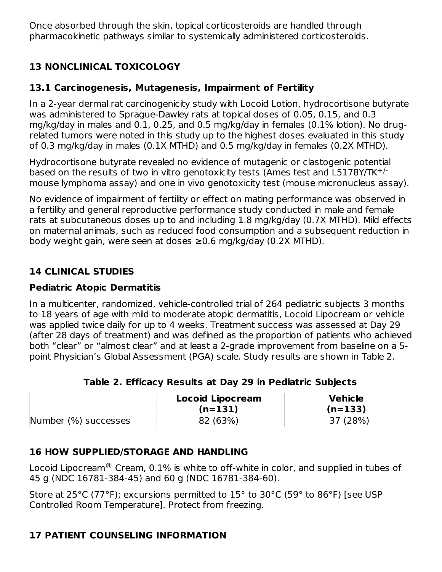Once absorbed through the skin, topical corticosteroids are handled through pharmacokinetic pathways similar to systemically administered corticosteroids.

### **13 NONCLINICAL TOXICOLOGY**

### **13.1 Carcinogenesis, Mutagenesis, Impairment of Fertility**

In a 2-year dermal rat carcinogenicity study with Locoid Lotion, hydrocortisone butyrate was administered to Sprague-Dawley rats at topical doses of 0.05, 0.15, and 0.3 mg/kg/day in males and 0.1, 0.25, and 0.5 mg/kg/day in females (0.1% lotion). No drugrelated tumors were noted in this study up to the highest doses evaluated in this study of 0.3 mg/kg/day in males (0.1X MTHD) and 0.5 mg/kg/day in females (0.2X MTHD).

Hydrocortisone butyrate revealed no evidence of mutagenic or clastogenic potential based on the results of two in vitro genotoxicity tests (Ames test and L5178Y/TK<sup>+/-</sup> mouse lymphoma assay) and one in vivo genotoxicity test (mouse micronucleus assay).

No evidence of impairment of fertility or effect on mating performance was observed in a fertility and general reproductive performance study conducted in male and female rats at subcutaneous doses up to and including 1.8 mg/kg/day (0.7X MTHD). Mild effects on maternal animals, such as reduced food consumption and a subsequent reduction in body weight gain, were seen at doses ≥0.6 mg/kg/day (0.2X MTHD).

### **14 CLINICAL STUDIES**

### **Pediatric Atopic Dermatitis**

In a multicenter, randomized, vehicle-controlled trial of 264 pediatric subjects 3 months to 18 years of age with mild to moderate atopic dermatitis, Locoid Lipocream or vehicle was applied twice daily for up to 4 weeks. Treatment success was assessed at Day 29 (after 28 days of treatment) and was defined as the proportion of patients who achieved both "clear" or "almost clear" and at least a 2-grade improvement from baseline on a 5 point Physician's Global Assessment (PGA) scale. Study results are shown in Table 2.

|  |  |  |  |  | Table 2. Efficacy Results at Day 29 in Pediatric Subjects |  |
|--|--|--|--|--|-----------------------------------------------------------|--|
|--|--|--|--|--|-----------------------------------------------------------|--|

|                      | <b>Locoid Lipocream</b><br>$(n=131)$ | <b>Vehicle</b><br>$(n=133)$ |
|----------------------|--------------------------------------|-----------------------------|
| Number (%) successes | 82 (63%)                             | 37 (28%)                    |

### **16 HOW SUPPLIED/STORAGE AND HANDLING**

Locoid Lipocream $^\circledR$  Cream, 0.1% is white to off-white in color, and supplied in tubes of 45 g (NDC 16781-384-45) and 60 g (NDC 16781-384-60).

Store at 25°C (77°F); excursions permitted to 15° to 30°C (59° to 86°F) [see USP Controlled Room Temperature]. Protect from freezing.

### **17 PATIENT COUNSELING INFORMATION**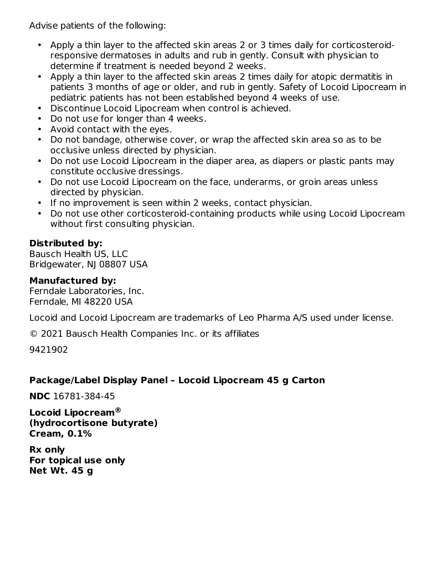Advise patients of the following:

- Apply a thin layer to the affected skin areas 2 or 3 times daily for corticosteroidresponsive dermatoses in adults and rub in gently. Consult with physician to determine if treatment is needed beyond 2 weeks.
- Apply a thin layer to the affected skin areas 2 times daily for atopic dermatitis in patients 3 months of age or older, and rub in gently. Safety of Locoid Lipocream in pediatric patients has not been established beyond 4 weeks of use.
- Discontinue Locoid Lipocream when control is achieved.
- Do not use for longer than 4 weeks.
- Avoid contact with the eyes.
- Do not bandage, otherwise cover, or wrap the affected skin area so as to be occlusive unless directed by physician.
- Do not use Locoid Lipocream in the diaper area, as diapers or plastic pants may constitute occlusive dressings.
- Do not use Locoid Lipocream on the face, underarms, or groin areas unless directed by physician.
- If no improvement is seen within 2 weeks, contact physician.
- Do not use other corticosteroid-containing products while using Locoid Lipocream without first consulting physician.

#### **Distributed by:**

Bausch Health US, LLC Bridgewater, NJ 08807 USA

#### **Manufactured by:**

Ferndale Laboratories, Inc. Ferndale, MI 48220 USA

Locoid and Locoid Lipocream are trademarks of Leo Pharma A/S used under license.

© 2021 Bausch Health Companies Inc. or its affiliates

9421902

### **Package/Label Display Panel – Locoid Lipocream 45 g Carton**

**NDC** 16781-384-45

**Locoid Lipocream ®(hydrocortisone butyrate) Cream, 0.1%**

**Rx only For topical use only Net Wt. 45 g**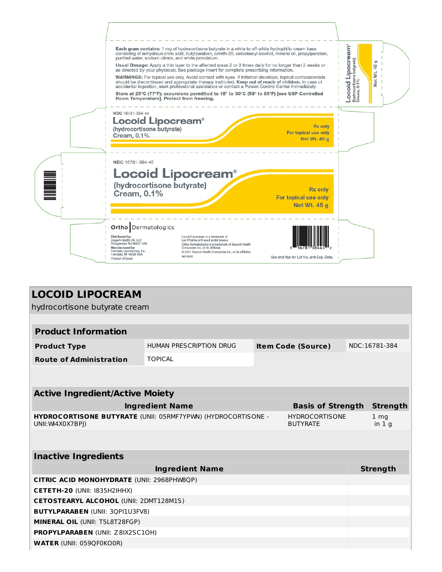

| <b>LOCOID LIPOCREAM</b>                           |                                                                                                                 |  |                           |               |                 |
|---------------------------------------------------|-----------------------------------------------------------------------------------------------------------------|--|---------------------------|---------------|-----------------|
| hydrocortisone butyrate cream                     |                                                                                                                 |  |                           |               |                 |
|                                                   |                                                                                                                 |  |                           |               |                 |
| <b>Product Information</b>                        |                                                                                                                 |  |                           |               |                 |
| <b>Product Type</b>                               | HUMAN PRESCRIPTION DRUG                                                                                         |  | <b>Item Code (Source)</b> | NDC:16781-384 |                 |
| <b>Route of Administration</b>                    | <b>TOPICAL</b>                                                                                                  |  |                           |               |                 |
|                                                   |                                                                                                                 |  |                           |               |                 |
|                                                   |                                                                                                                 |  |                           |               |                 |
| <b>Active Ingredient/Active Moiety</b>            |                                                                                                                 |  |                           |               |                 |
|                                                   | <b>Ingredient Name</b>                                                                                          |  | <b>Basis of Strength</b>  |               | <b>Strength</b> |
| UNII: W4X0X7BPI)                                  | <b>HYDROCORTISONE BUTYRATE (UNII: 05RMF7YPWN) (HYDROCORTISONE -</b><br><b>HYDROCORTISONE</b><br><b>BUTYRATE</b> |  |                           |               |                 |
|                                                   |                                                                                                                 |  |                           |               |                 |
| <b>Inactive Ingredients</b>                       |                                                                                                                 |  |                           |               |                 |
|                                                   | <b>Ingredient Name</b>                                                                                          |  |                           |               | <b>Strength</b> |
| <b>CITRIC ACID MONOHYDRATE (UNII: 2968PHW8QP)</b> |                                                                                                                 |  |                           |               |                 |
| CETETH-20 (UNII: I835H2IHHX)                      |                                                                                                                 |  |                           |               |                 |
| <b>CETOSTEARYL ALCOHOL (UNII: 2DMT128M1S)</b>     |                                                                                                                 |  |                           |               |                 |
| <b>BUTYLPARABEN (UNII: 3QPI1U3FV8)</b>            |                                                                                                                 |  |                           |               |                 |
| MINERAL OIL (UNII: T5L8T28FGP)                    |                                                                                                                 |  |                           |               |                 |
| <b>PROPYLPARABEN (UNII: Z8IX2SC10H)</b>           |                                                                                                                 |  |                           |               |                 |
| <b>WATER (UNII: 059QF0KO0R)</b>                   |                                                                                                                 |  |                           |               |                 |